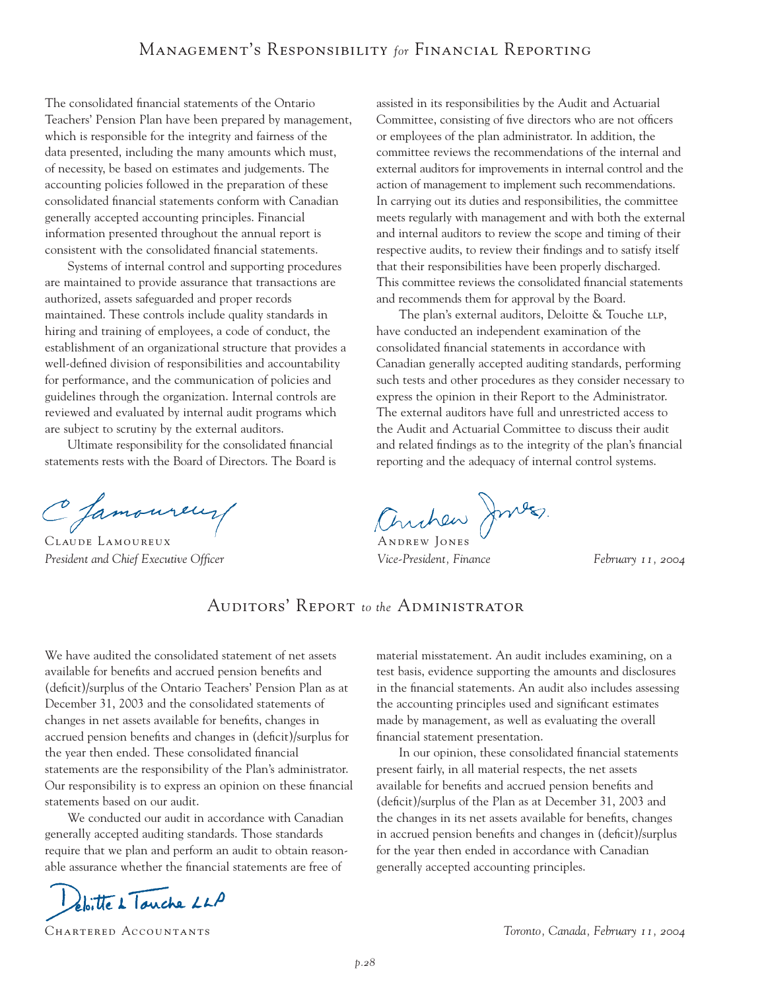The consolidated financial statements of the Ontario Teachers' Pension Plan have been prepared by management, which is responsible for the integrity and fairness of the data presented, including the many amounts which must, of necessity, be based on estimates and judgements. The accounting policies followed in the preparation of these consolidated financial statements conform with Canadian generally accepted accounting principles. Financial information presented throughout the annual report is consistent with the consolidated financial statements.

Systems of internal control and supporting procedures are maintained to provide assurance that transactions are authorized, assets safeguarded and proper records maintained. These controls include quality standards in hiring and training of employees, a code of conduct, the establishment of an organizational structure that provides a well-defined division of responsibilities and accountability for performance, and the communication of policies and guidelines through the organization. Internal controls are reviewed and evaluated by internal audit programs which are subject to scrutiny by the external auditors.

Ultimate responsibility for the consolidated financial statements rests with the Board of Directors. The Board is

C Jamoureur

*President and Chief Executive Officer Vice-President, Finance February 11, 2004*

assisted in its responsibilities by the Audit and Actuarial Committee, consisting of five directors who are not officers or employees of the plan administrator. In addition, the committee reviews the recommendations of the internal and external auditors for improvements in internal control and the action of management to implement such recommendations. In carrying out its duties and responsibilities, the committee meets regularly with management and with both the external and internal auditors to review the scope and timing of their respective audits, to review their findings and to satisfy itself that their responsibilities have been properly discharged. This committee reviews the consolidated financial statements and recommends them for approval by the Board.

The plan's external auditors, Deloitte & Touche LLP, have conducted an independent examination of the consolidated financial statements in accordance with Canadian generally accepted auditing standards, performing such tests and other procedures as they consider necessary to express the opinion in their Report to the Administrator. The external auditors have full and unrestricted access to the Audit and Actuarial Committee to discuss their audit and related findings as to the integrity of the plan's financial reporting and the adequacy of internal control systems.

C famoureur/ Anchew Jones

# Auditors' Report *to the* Administrator

We have audited the consolidated statement of net assets available for benefits and accrued pension benefits and (deficit)/surplus of the Ontario Teachers' Pension Plan as at December 31, 2003 and the consolidated statements of changes in net assets available for benefits, changes in accrued pension benefits and changes in (deficit)/surplus for the year then ended. These consolidated financial statements are the responsibility of the Plan's administrator. Our responsibility is to express an opinion on these financial statements based on our audit.

We conducted our audit in accordance with Canadian generally accepted auditing standards. Those standards require that we plan and perform an audit to obtain reasonable assurance whether the financial statements are free of

eloitte à Touche LLP

material misstatement. An audit includes examining, on a test basis, evidence supporting the amounts and disclosures in the financial statements. An audit also includes assessing the accounting principles used and significant estimates made by management, as well as evaluating the overall financial statement presentation.

In our opinion, these consolidated financial statements present fairly, in all material respects, the net assets available for benefits and accrued pension benefits and (deficit)/surplus of the Plan as at December 31, 2003 and the changes in its net assets available for benefits, changes in accrued pension benefits and changes in (deficit)/surplus for the year then ended in accordance with Canadian generally accepted accounting principles.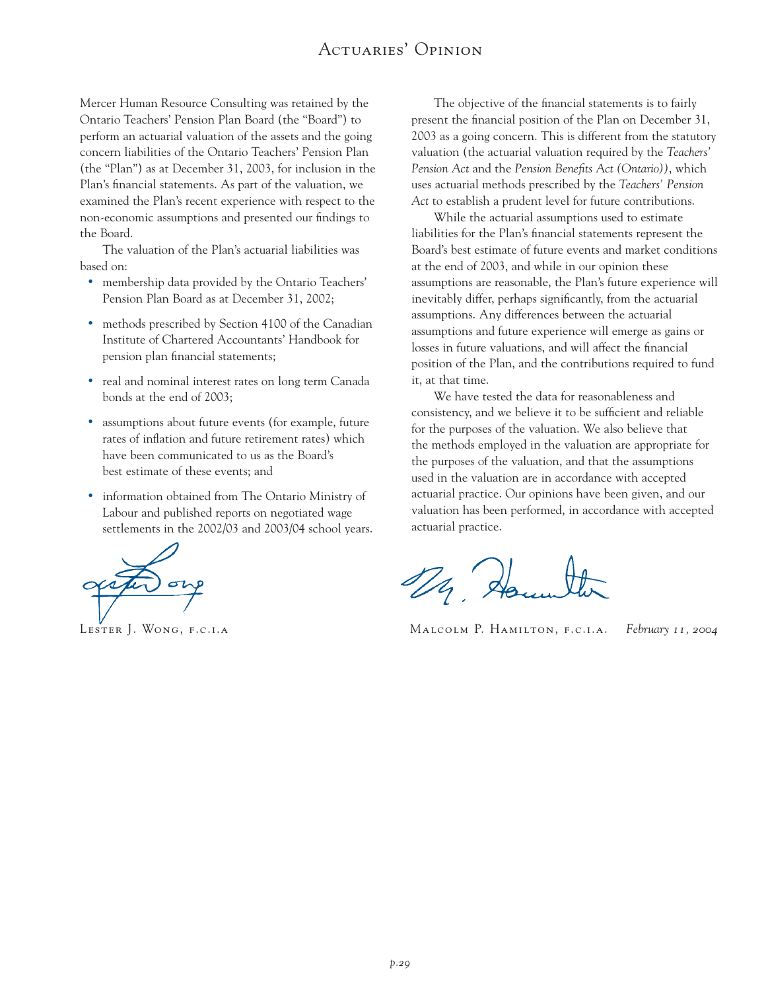## Actuaries' Opinion

Mercer Human Resource Consulting was retained by the Ontario Teachers' Pension Plan Board (the "Board") to perform an actuarial valuation of the assets and the going concern liabilities of the Ontario Teachers' Pension Plan (the "Plan") as at December 31, 2003, for inclusion in the Plan's financial statements. As part of the valuation, we examined the Plan's recent experience with respect to the non-economic assumptions and presented our findings to the Board.

The valuation of the Plan's actuarial liabilities was based on:

- membership data provided by the Ontario Teachers' Pension Plan Board as at December 31, 2002;
- methods prescribed by Section 4100 of the Canadian Institute of Chartered Accountants' Handbook for pension plan financial statements;
- real and nominal interest rates on long term Canada bonds at the end of 2003;
- assumptions about future events (for example, future rates of inflation and future retirement rates) which have been communicated to us as the Board's best estimate of these events; and
- information obtained from The Ontario Ministry of Labour and published reports on negotiated wage settlements in the 2002/03 and 2003/04 school years.

The objective of the financial statements is to fairly present the financial position of the Plan on December 31, 2003 as a going concern. This is different from the statutory valuation (the actuarial valuation required by the *Teachers' Pension Act* and the *Pension Benefits Act (Ontario))*, which uses actuarial methods prescribed by the *Teachers' Pension Act* to establish a prudent level for future contributions.

While the actuarial assumptions used to estimate liabilities for the Plan's financial statements represent the Board's best estimate of future events and market conditions at the end of 2003, and while in our opinion these assumptions are reasonable, the Plan's future experience will inevitably differ, perhaps significantly, from the actuarial assumptions. Any differences between the actuarial assumptions and future experience will emerge as gains or losses in future valuations, and will affect the financial position of the Plan, and the contributions required to fund it, at that time.

We have tested the data for reasonableness and consistency, and we believe it to be sufficient and reliable for the purposes of the valuation. We also believe that the methods employed in the valuation are appropriate for the purposes of the valuation, and that the assumptions used in the valuation are in accordance with accepted actuarial practice. Our opinions have been given, and our valuation has been performed, in accordance with accepted actuarial practice.

 $\frac{1}{2}$ 

Lester J. Wong, f.c.i.a Malcolm P. Hamilton, f.c.i.a. *February 11, 2004*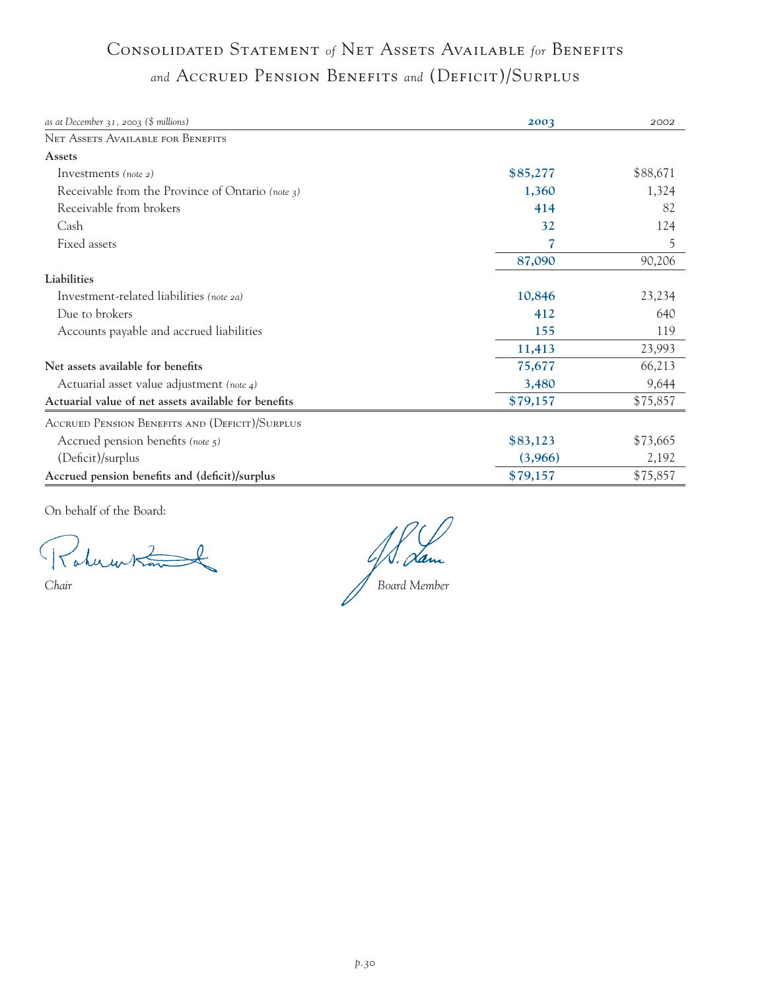# Consolidated Statement *of* Net Assets Available *for* Benefits *and* Accrued Pension Benefits *and* (Deficit)/Surplus

| as at December $31$ , 2003 (\$ millions)             | 2003     | 2002     |
|------------------------------------------------------|----------|----------|
| <b>NET ASSETS AVAILABLE FOR BENEFITS</b>             |          |          |
| Assets                                               |          |          |
| Investments (note $2$ )                              | \$85,277 | \$88,671 |
| Receivable from the Province of Ontario (note 3)     | 1,360    | 1,324    |
| Receivable from brokers                              | 414      | 82       |
| Cash                                                 | 32       | 124      |
| Fixed assets                                         | 7        | 5        |
|                                                      | 87,090   | 90,206   |
| Liabilities                                          |          |          |
| Investment-related liabilities (note 2a)             | 10,846   | 23,234   |
| Due to brokers                                       | 412      | 640      |
| Accounts payable and accrued liabilities             | 155      | 119      |
|                                                      | 11,413   | 23,993   |
| Net assets available for benefits                    | 75,677   | 66,213   |
| Actuarial asset value adjustment (note 4)            | 3,480    | 9,644    |
| Actuarial value of net assets available for benefits | \$79,157 | \$75,857 |
| ACCRUED PENSION BENEFITS AND (DEFICIT)/SURPLUS       |          |          |
| Accrued pension benefits (note 5)                    | \$83,123 | \$73,665 |
| (Deficit)/surplus                                    | (3,966)  | 2,192    |
| Accrued pension benefits and (deficit)/surplus       | \$79,157 | \$75,857 |

On behalf of the Board:

D. Han ı *Chair Board Member*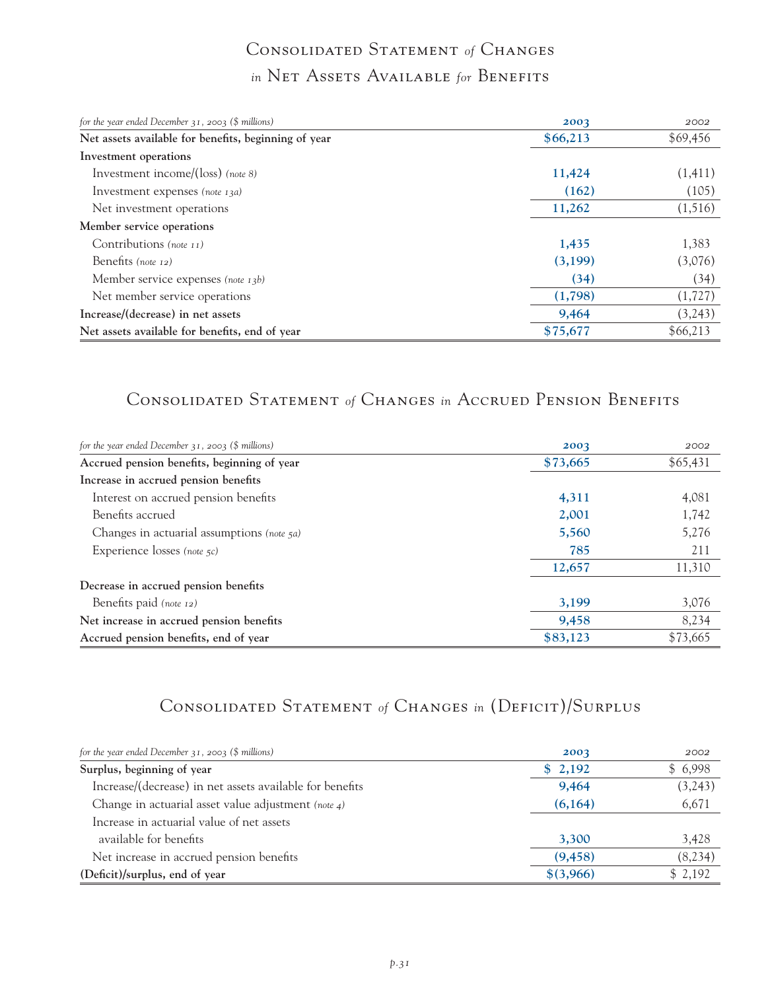# Consolidated Statement *of* Changes *in* Net Assets Available *for* Benefits

| for the year ended December $31$ , $2003$ (\$ millions) | 2003     | 2002     |
|---------------------------------------------------------|----------|----------|
| Net assets available for benefits, beginning of year    | \$66,213 | \$69,456 |
| Investment operations                                   |          |          |
| Investment income/( $\log$ ) (note 8)                   | 11,424   | (1,411)  |
| Investment expenses (note 13a)                          | (162)    | (105)    |
| Net investment operations                               | 11,262   | (1,516)  |
| Member service operations                               |          |          |
| Contributions (note $_{11}$ )                           | 1,435    | 1,383    |
| Benefits (note 12)                                      | (3,199)  | (3,076)  |
| Member service expenses (note $13b$ )                   | (34)     | (34)     |
| Net member service operations                           | (1,798)  | (1, 727) |
| Increase/(decrease) in net assets                       | 9,464    | (3,243)  |
| Net assets available for benefits, end of year          | \$75,677 | \$66,213 |

## Consolidated Statement *of* Changes *in* Accrued Pension Benefits

| for the year ended December $31$ , $2003$ (\$ millions) | 2003     | 2002     |
|---------------------------------------------------------|----------|----------|
| Accrued pension benefits, beginning of year             | \$73,665 | \$65,431 |
| Increase in accrued pension benefits                    |          |          |
| Interest on accrued pension benefits                    | 4,311    | 4,081    |
| Benefits accrued                                        | 2,001    | 1,742    |
| Changes in actuarial assumptions (note 5a)              | 5,560    | 5,276    |
| Experience losses (note 5c)                             | 785      | 211      |
|                                                         | 12,657   | 11,310   |
| Decrease in accrued pension benefits                    |          |          |
| Benefits paid (note 12)                                 | 3,199    | 3,076    |
| Net increase in accrued pension benefits                | 9,458    | 8,234    |
| Accrued pension benefits, end of year                   | \$83,123 | \$73,665 |

# Consolidated Statement *of* Changes *in* (Deficit)/Surplus

| for the year ended December $31$ , $2003$ (\$ millions)  | 2003      | 2002    |
|----------------------------------------------------------|-----------|---------|
| Surplus, beginning of year                               | \$2,192   | \$6,998 |
| Increase/(decrease) in net assets available for benefits | 9,464     | (3,243) |
| Change in actuarial asset value adjustment (note 4)      | (6,164)   | 6,671   |
| Increase in actuarial value of net assets                |           |         |
| available for benefits                                   | 3,300     | 3,428   |
| Net increase in accrued pension benefits                 | (9, 458)  | (8,234) |
| (Deficit)/surplus, end of year                           | \$(3,966) | \$2,192 |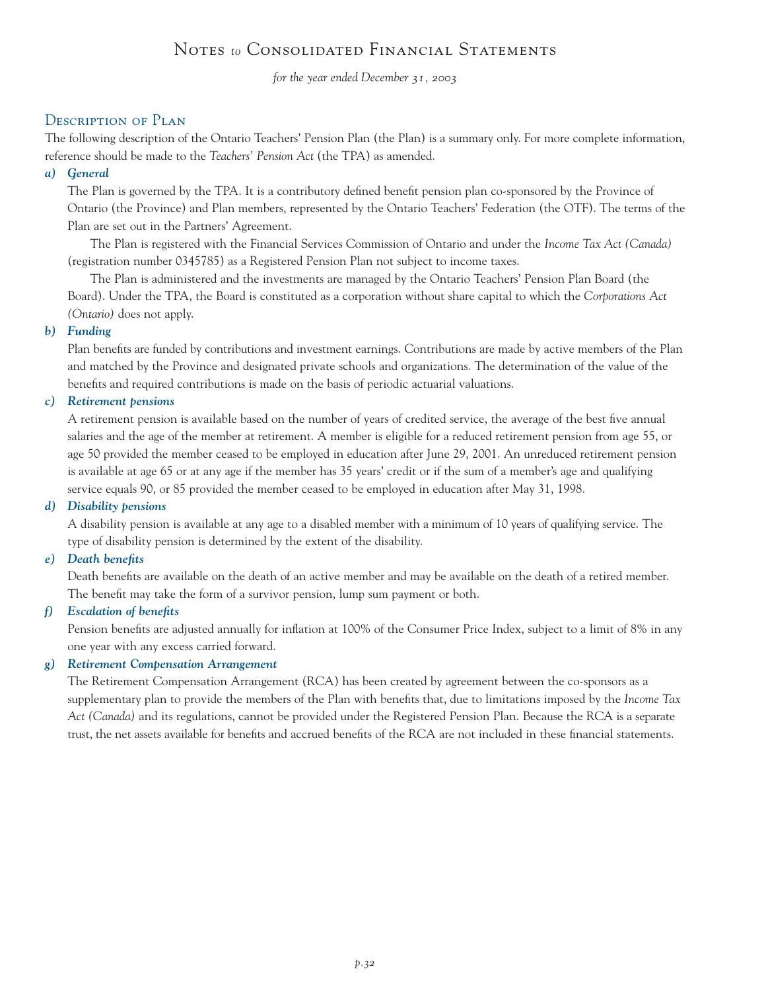## Notes *to* Consolidated Financial Statements

*for the year ended December 31, 2003*

## Description of Plan

The following description of the Ontario Teachers' Pension Plan (the Plan) is a summary only. For more complete information, reference should be made to the *Teachers' Pension Act* (the TPA) as amended.

### *a) General*

The Plan is governed by the TPA. It is a contributory defined benefit pension plan co-sponsored by the Province of Ontario (the Province) and Plan members, represented by the Ontario Teachers' Federation (the OTF). The terms of the Plan are set out in the Partners' Agreement.

The Plan is registered with the Financial Services Commission of Ontario and under the *Income Tax Act (Canada)* (registration number 0345785) as a Registered Pension Plan not subject to income taxes.

The Plan is administered and the investments are managed by the Ontario Teachers' Pension Plan Board (the Board). Under the TPA, the Board is constituted as a corporation without share capital to which the *Corporations Act (Ontario)* does not apply.

## *b) Funding*

Plan benefits are funded by contributions and investment earnings. Contributions are made by active members of the Plan and matched by the Province and designated private schools and organizations. The determination of the value of the benefits and required contributions is made on the basis of periodic actuarial valuations.

### *c) Retirement pensions*

A retirement pension is available based on the number of years of credited service, the average of the best five annual salaries and the age of the member at retirement. A member is eligible for a reduced retirement pension from age 55, or age 50 provided the member ceased to be employed in education after June 29, 2001. An unreduced retirement pension is available at age 65 or at any age if the member has 35 years' credit or if the sum of a member's age and qualifying service equals 90, or 85 provided the member ceased to be employed in education after May 31, 1998.

#### *d) Disability pensions*

A disability pension is available at any age to a disabled member with a minimum of 10 years of qualifying service. The type of disability pension is determined by the extent of the disability.

#### *e) Death benefits*

Death benefits are available on the death of an active member and may be available on the death of a retired member. The benefit may take the form of a survivor pension, lump sum payment or both.

#### *f) Escalation of benefits*

Pension benefits are adjusted annually for inflation at 100% of the Consumer Price Index, subject to a limit of 8% in any one year with any excess carried forward.

## *g) Retirement Compensation Arrangement*

The Retirement Compensation Arrangement (RCA) has been created by agreement between the co-sponsors as a supplementary plan to provide the members of the Plan with benefits that, due to limitations imposed by the *Income Tax Act (Canada)* and its regulations, cannot be provided under the Registered Pension Plan. Because the RCA is a separate trust, the net assets available for benefits and accrued benefits of the RCA are not included in these financial statements.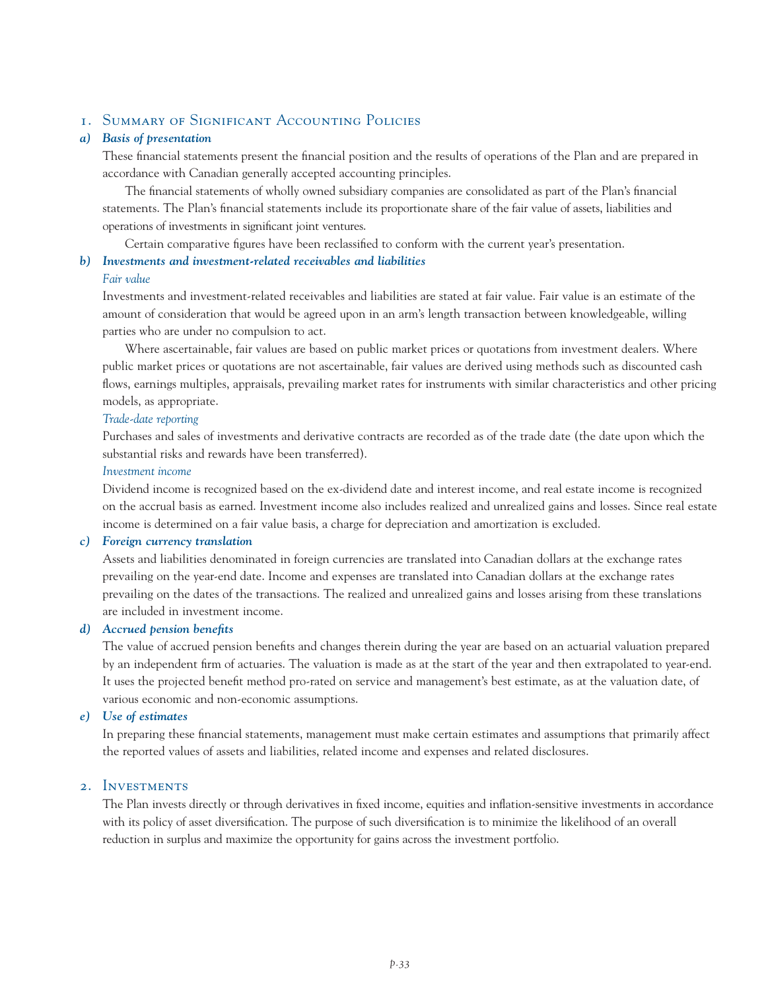## 1. Summary of Significant Accounting Policies

#### *a) Basis of presentation*

These financial statements present the financial position and the results of operations of the Plan and are prepared in accordance with Canadian generally accepted accounting principles.

The financial statements of wholly owned subsidiary companies are consolidated as part of the Plan's financial statements. The Plan's financial statements include its proportionate share of the fair value of assets, liabilities and operations of investments in significant joint ventures.

Certain comparative figures have been reclassified to conform with the current year's presentation.

#### *b) Investments and investment-related receivables and liabilities*

#### *Fair value*

Investments and investment-related receivables and liabilities are stated at fair value. Fair value is an estimate of the amount of consideration that would be agreed upon in an arm's length transaction between knowledgeable, willing parties who are under no compulsion to act.

Where ascertainable, fair values are based on public market prices or quotations from investment dealers. Where public market prices or quotations are not ascertainable, fair values are derived using methods such as discounted cash flows, earnings multiples, appraisals, prevailing market rates for instruments with similar characteristics and other pricing models, as appropriate.

#### *Trade-date reporting*

Purchases and sales of investments and derivative contracts are recorded as of the trade date (the date upon which the substantial risks and rewards have been transferred).

#### *Investment income*

Dividend income is recognized based on the ex-dividend date and interest income, and real estate income is recognized on the accrual basis as earned. Investment income also includes realized and unrealized gains and losses. Since real estate income is determined on a fair value basis, a charge for depreciation and amortization is excluded.

#### *c) Foreign currency translation*

Assets and liabilities denominated in foreign currencies are translated into Canadian dollars at the exchange rates prevailing on the year-end date. Income and expenses are translated into Canadian dollars at the exchange rates prevailing on the dates of the transactions. The realized and unrealized gains and losses arising from these translations are included in investment income.

#### *d) Accrued pension benefits*

The value of accrued pension benefits and changes therein during the year are based on an actuarial valuation prepared by an independent firm of actuaries. The valuation is made as at the start of the year and then extrapolated to year-end. It uses the projected benefit method pro-rated on service and management's best estimate, as at the valuation date, of various economic and non-economic assumptions.

#### *e) Use of estimates*

In preparing these financial statements, management must make certain estimates and assumptions that primarily affect the reported values of assets and liabilities, related income and expenses and related disclosures.

#### 2. Investments

The Plan invests directly or through derivatives in fixed income, equities and inflation-sensitive investments in accordance with its policy of asset diversification. The purpose of such diversification is to minimize the likelihood of an overall reduction in surplus and maximize the opportunity for gains across the investment portfolio.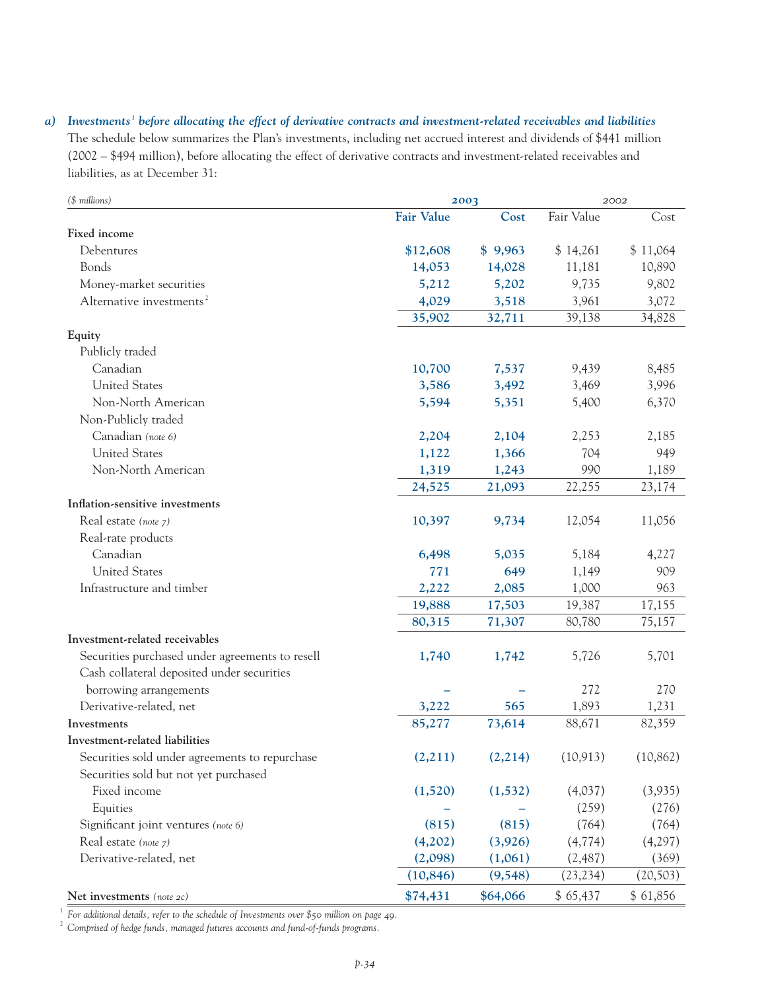*a) Investments <sup>1</sup> before allocating the effect of derivative contracts and investment-related receivables and liabilities* The schedule below summarizes the Plan's investments, including net accrued interest and dividends of \$441 million (2002 – \$494 million), before allocating the effect of derivative contracts and investment-related receivables and liabilities, as at December 31:

| $($$ millions)                                  |                   | 2003     |            | 2002      |  |
|-------------------------------------------------|-------------------|----------|------------|-----------|--|
|                                                 | <b>Fair Value</b> | Cost     | Fair Value | Cost      |  |
| Fixed income                                    |                   |          |            |           |  |
| Debentures                                      | \$12,608          | \$9,963  | \$14,261   | \$11,064  |  |
| Bonds                                           | 14,053            | 14,028   | 11,181     | 10,890    |  |
| Money-market securities                         | 5,212             | 5,202    | 9,735      | 9,802     |  |
| Alternative investments <sup>2</sup>            | 4,029             | 3,518    | 3,961      | 3,072     |  |
|                                                 | 35,902            | 32,711   | 39,138     | 34,828    |  |
| Equity                                          |                   |          |            |           |  |
| Publicly traded                                 |                   |          |            |           |  |
| Canadian                                        | 10,700            | 7,537    | 9,439      | 8,485     |  |
| <b>United States</b>                            | 3,586             | 3,492    | 3,469      | 3,996     |  |
| Non-North American                              | 5,594             | 5,351    | 5,400      | 6,370     |  |
| Non-Publicly traded                             |                   |          |            |           |  |
| Canadian (note 6)                               | 2,204             | 2,104    | 2,253      | 2,185     |  |
| <b>United States</b>                            | 1,122             | 1,366    | 704        | 949       |  |
| Non-North American                              | 1,319             | 1,243    | 990        | 1,189     |  |
|                                                 | 24,525            | 21,093   | 22,255     | 23,174    |  |
| Inflation-sensitive investments                 |                   |          |            |           |  |
| Real estate (note 7)                            | 10,397            | 9,734    | 12,054     | 11,056    |  |
| Real-rate products                              |                   |          |            |           |  |
| Canadian                                        | 6,498             | 5,035    | 5,184      | 4,227     |  |
| <b>United States</b>                            | 771               | 649      | 1,149      | 909       |  |
| Infrastructure and timber                       | 2,222             | 2,085    | 1,000      | 963       |  |
|                                                 | 19,888            | 17,503   | 19,387     | 17,155    |  |
|                                                 | 80,315            | 71,307   | 80,780     | 75,157    |  |
| Investment-related receivables                  |                   |          |            |           |  |
| Securities purchased under agreements to resell | 1,740             | 1,742    | 5,726      | 5,701     |  |
| Cash collateral deposited under securities      |                   |          |            |           |  |
| borrowing arrangements                          |                   |          | 272        | 270       |  |
| Derivative-related, net                         | 3,222             | 565      | 1,893      | 1,231     |  |
| Investments                                     | 85,277            | 73,614   | 88,671     | 82,359    |  |
| Investment-related liabilities                  |                   |          |            |           |  |
| Securities sold under agreements to repurchase  | (2,211)           | (2,214)  | (10, 913)  | (10, 862) |  |
| Securities sold but not yet purchased           |                   |          |            |           |  |
| Fixed income                                    | (1,520)           | (1, 532) | (4,037)    | (3,935)   |  |
| Equities                                        |                   |          | (259)      | (276)     |  |
| Significant joint ventures (note 6)             | (815)             | (815)    | (764)      | (764)     |  |
| Real estate (note 7)                            | (4,202)           | (3,926)  | (4, 774)   | (4,297)   |  |
| Derivative-related, net                         | (2,098)           | (1,061)  | (2, 487)   | (369)     |  |
|                                                 | (10, 846)         | (9, 548) | (23, 234)  | (20, 503) |  |
| Net investments (note 2c)                       | \$74,431          | \$64,066 | \$65,437   | \$61,856  |  |

<sup>1</sup> For additional details, refer to the schedule of Investments over \$50 million on page 49.

<sup>2</sup> *Comprised of hedge funds, managed futures accounts and fund-of-funds programs.*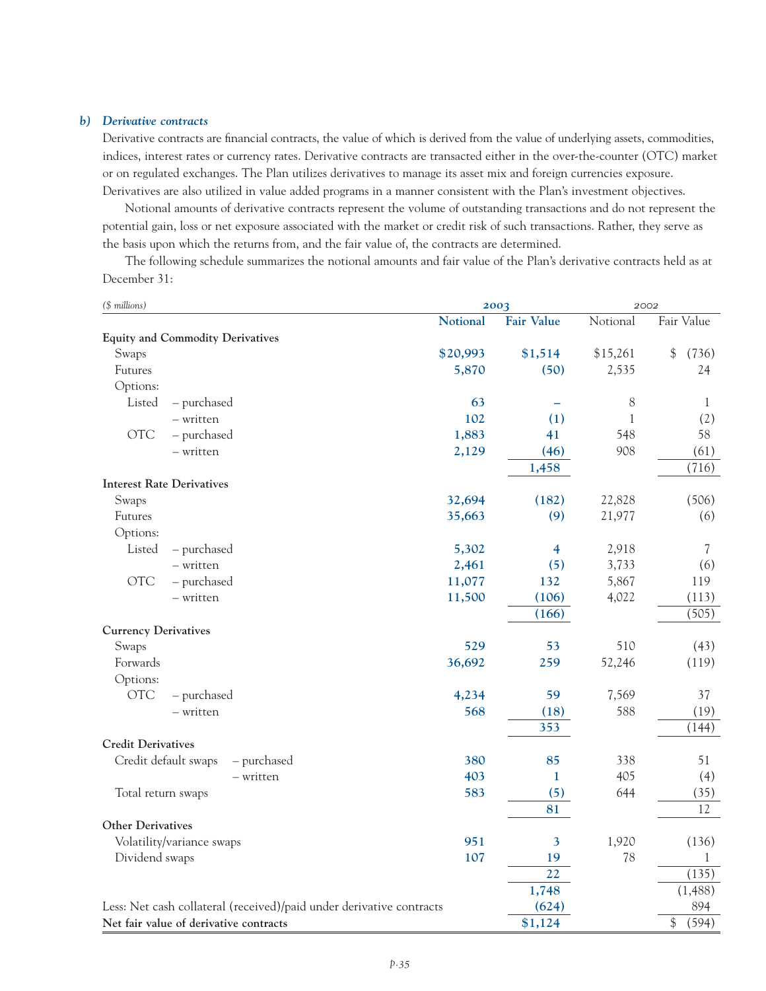#### *b) Derivative contracts*

Derivative contracts are financial contracts, the value of which is derived from the value of underlying assets, commodities, indices, interest rates or currency rates. Derivative contracts are transacted either in the over-the-counter (OTC) market or on regulated exchanges. The Plan utilizes derivatives to manage its asset mix and foreign currencies exposure. Derivatives are also utilized in value added programs in a manner consistent with the Plan's investment objectives.

Notional amounts of derivative contracts represent the volume of outstanding transactions and do not represent the potential gain, loss or net exposure associated with the market or credit risk of such transactions. Rather, they serve as the basis upon which the returns from, and the fair value of, the contracts are determined.

The following schedule summarizes the notional amounts and fair value of the Plan's derivative contracts held as at December 31:

| (\$ millions)                                                        | 2003     |                         | 2002     |                        |
|----------------------------------------------------------------------|----------|-------------------------|----------|------------------------|
|                                                                      | Notional | <b>Fair Value</b>       | Notional | Fair Value             |
| <b>Equity and Commodity Derivatives</b>                              |          |                         |          |                        |
| Swaps                                                                | \$20,993 | \$1,514                 | \$15,261 | $\frac{1}{2}$<br>(736) |
| Futures                                                              | 5,870    | (50)                    | 2,535    | 24                     |
| Options:                                                             |          |                         |          |                        |
| Listed<br>- purchased                                                | 63       |                         | 8        | 1                      |
| - written                                                            | 102      | (1)                     | 1        | (2)                    |
| <b>OTC</b><br>- purchased                                            | 1,883    | 41                      | 548      | 58                     |
| - written                                                            | 2,129    | (46)                    | 908      | (61)                   |
|                                                                      |          | 1,458                   |          | (716)                  |
| <b>Interest Rate Derivatives</b>                                     |          |                         |          |                        |
| Swaps                                                                | 32,694   | (182)                   | 22,828   | (506)                  |
| Futures                                                              | 35,663   | (9)                     | 21,977   | (6)                    |
| Options:                                                             |          |                         |          |                        |
| Listed<br>- purchased                                                | 5,302    | $\overline{\mathbf{4}}$ | 2,918    | 7                      |
| - written                                                            | 2,461    | (5)                     | 3,733    | (6)                    |
| <b>OTC</b><br>- purchased                                            | 11,077   | 132                     | 5,867    | 119                    |
| - written                                                            | 11,500   | (106)                   | 4,022    | (113)                  |
|                                                                      |          | (166)                   |          | (505)                  |
| <b>Currency Derivatives</b>                                          |          |                         |          |                        |
| Swaps                                                                | 529      | 53                      | 510      | (43)                   |
| Forwards                                                             | 36,692   | 259                     | 52,246   | (119)                  |
| Options:                                                             |          |                         |          |                        |
| <b>OTC</b><br>- purchased                                            | 4,234    | 59                      | 7,569    | 37                     |
| - written                                                            | 568      | (18)                    | 588      | (19)                   |
|                                                                      |          | 353                     |          | (144)                  |
| <b>Credit Derivatives</b>                                            |          |                         |          |                        |
| Credit default swaps<br>- purchased                                  | 380      | 85                      | 338      | 51                     |
| - written                                                            | 403      | 1                       | 405      | (4)                    |
| Total return swaps                                                   | 583      | (5)                     | 644      | (35)                   |
|                                                                      |          | 81                      |          | 12                     |
| <b>Other Derivatives</b>                                             |          |                         |          |                        |
| Volatility/variance swaps                                            | 951      | 3                       | 1,920    | (136)                  |
| Dividend swaps                                                       | 107      | 19                      | 78       | 1                      |
|                                                                      |          | 22                      |          | (135)                  |
|                                                                      |          | 1,748                   |          | (1, 488)               |
| Less: Net cash collateral (received)/paid under derivative contracts |          | (624)                   |          | 894                    |
| Net fair value of derivative contracts                               |          | \$1,124                 |          | (594)<br>$\$\$         |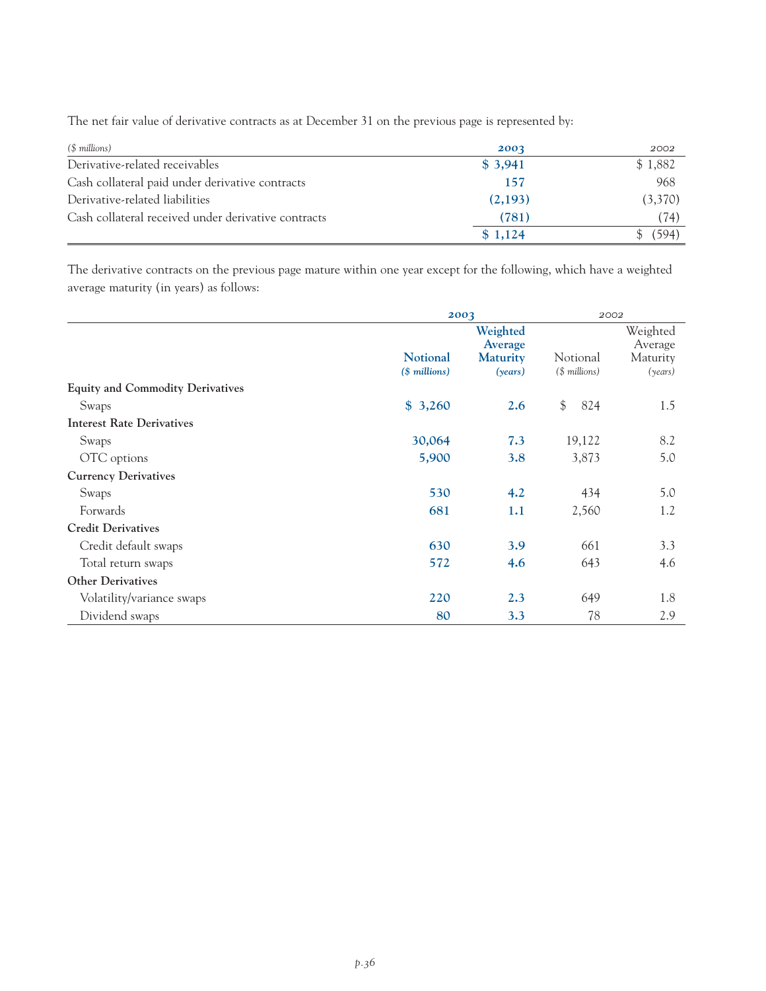The net fair value of derivative contracts as at December 31 on the previous page is represented by:

| (\$ millions)                                       | 2003    | 2002    |
|-----------------------------------------------------|---------|---------|
| Derivative-related receivables                      | \$3,941 | \$1,882 |
| Cash collateral paid under derivative contracts     | 157     | 968     |
| Derivative-related liabilities                      | (2,193) | (3,370) |
| Cash collateral received under derivative contracts | (781)   | (74)    |
|                                                     | \$1,124 | (594)   |

The derivative contracts on the previous page mature within one year except for the following, which have a weighted average maturity (in years) as follows:

|                                         |                 | 2003                |                | 2002                |  |
|-----------------------------------------|-----------------|---------------------|----------------|---------------------|--|
|                                         |                 | Weighted<br>Average |                | Weighted<br>Average |  |
|                                         | <b>Notional</b> | <b>Maturity</b>     | Notional       | Maturity            |  |
|                                         | $($$ millions)  | (years)             | $($$ millions) | (years)             |  |
| <b>Equity and Commodity Derivatives</b> |                 |                     |                |                     |  |
| Swaps                                   | \$3,260         | 2.6                 | $\$\$<br>824   | 1.5                 |  |
| <b>Interest Rate Derivatives</b>        |                 |                     |                |                     |  |
| Swaps                                   | 30,064          | 7.3                 | 19,122         | 8.2                 |  |
| OTC options                             | 5,900           | 3.8                 | 3,873          | 5.0                 |  |
| <b>Currency Derivatives</b>             |                 |                     |                |                     |  |
| Swaps                                   | 530             | 4.2                 | 434            | 5.0                 |  |
| Forwards                                | 681             | 1.1                 | 2,560          | 1.2                 |  |
| <b>Credit Derivatives</b>               |                 |                     |                |                     |  |
| Credit default swaps                    | 630             | 3.9                 | 661            | 3.3                 |  |
| Total return swaps                      | 572             | 4.6                 | 643            | 4.6                 |  |
| <b>Other Derivatives</b>                |                 |                     |                |                     |  |
| Volatility/variance swaps               | 220             | 2.3                 | 649            | 1.8                 |  |
| Dividend swaps                          | 80              | 3.3                 | 78             | 2.9                 |  |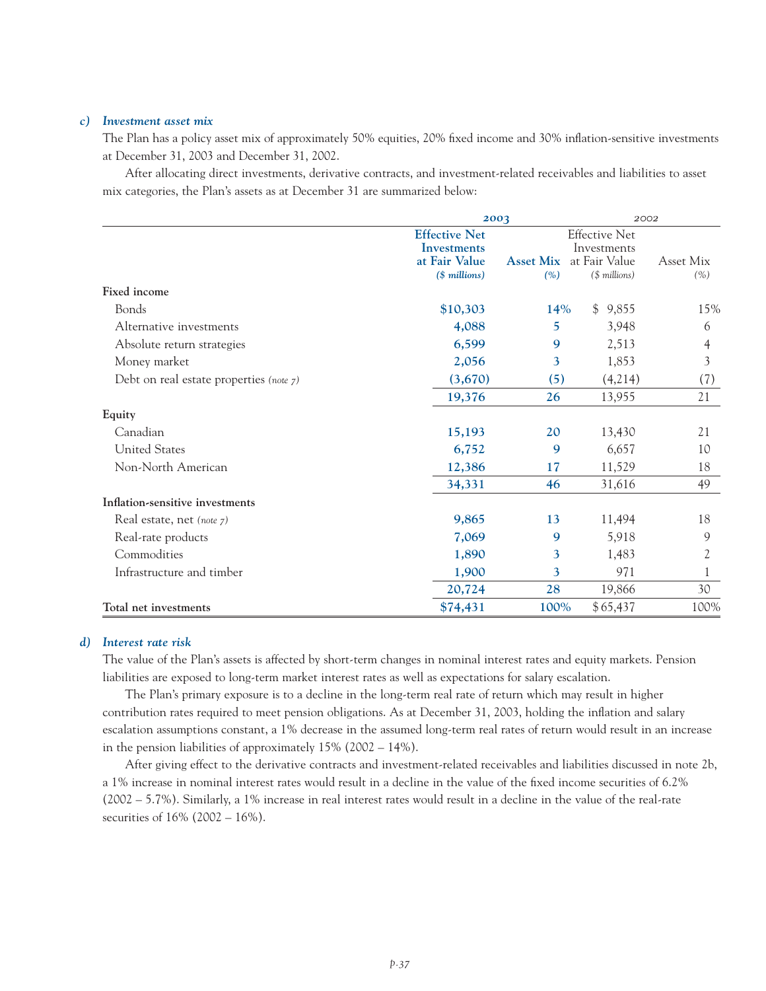#### *c) Investment asset mix*

The Plan has a policy asset mix of approximately 50% equities, 20% fixed income and 30% inflation-sensitive investments at December 31, 2003 and December 31, 2002.

After allocating direct investments, derivative contracts, and investment-related receivables and liabilities to asset mix categories, the Plan's assets as at December 31 are summarized below:

|                                            | 2003                 |                  | 2002                 |           |
|--------------------------------------------|----------------------|------------------|----------------------|-----------|
|                                            | <b>Effective Net</b> |                  | <b>Effective Net</b> |           |
|                                            | Investments          |                  | Investments          |           |
|                                            | at Fair Value        | <b>Asset Mix</b> | at Fair Value        | Asset Mix |
|                                            | $($$ millions)       | (% )             | (\$ millions)        | (% )      |
| Fixed income                               |                      |                  |                      |           |
| Bonds                                      | \$10,303             | 14%              | \$9,855              | 15%       |
| Alternative investments                    | 4,088                | 5                | 3,948                | 6         |
| Absolute return strategies                 | 6,599                | 9                | 2,513                | 4         |
| Money market                               | 2,056                | 3                | 1,853                | 3         |
| Debt on real estate properties (note $7$ ) | (3,670)              | (5)              | (4,214)              | (7)       |
|                                            | 19,376               | 26               | 13,955               | 21        |
| Equity                                     |                      |                  |                      |           |
| Canadian                                   | 15,193               | 20               | 13,430               | 21        |
| <b>United States</b>                       | 6,752                | 9                | 6,657                | 10        |
| Non-North American                         | 12,386               | 17               | 11,529               | 18        |
|                                            | 34,331               | 46               | 31,616               | 49        |
| Inflation-sensitive investments            |                      |                  |                      |           |
| Real estate, net (note 7)                  | 9,865                | 13               | 11,494               | 18        |
| Real-rate products                         | 7,069                | 9                | 5,918                | 9         |
| Commodities                                | 1,890                | 3                | 1,483                | 2         |
| Infrastructure and timber                  | 1,900                | 3                | 971                  |           |
|                                            | 20,724               | 28               | 19,866               | 30        |
| Total net investments                      | \$74,431             | 100%             | \$65,437             | 100%      |

#### *d) Interest rate risk*

The value of the Plan's assets is affected by short-term changes in nominal interest rates and equity markets. Pension liabilities are exposed to long-term market interest rates as well as expectations for salary escalation.

The Plan's primary exposure is to a decline in the long-term real rate of return which may result in higher contribution rates required to meet pension obligations. As at December 31, 2003, holding the inflation and salary escalation assumptions constant, a 1% decrease in the assumed long-term real rates of return would result in an increase in the pension liabilities of approximately 15% (2002 – 14%).

After giving effect to the derivative contracts and investment-related receivables and liabilities discussed in note 2b, a 1% increase in nominal interest rates would result in a decline in the value of the fixed income securities of 6.2% (2002 – 5.7%). Similarly, a 1% increase in real interest rates would result in a decline in the value of the real-rate securities of 16% (2002 – 16%).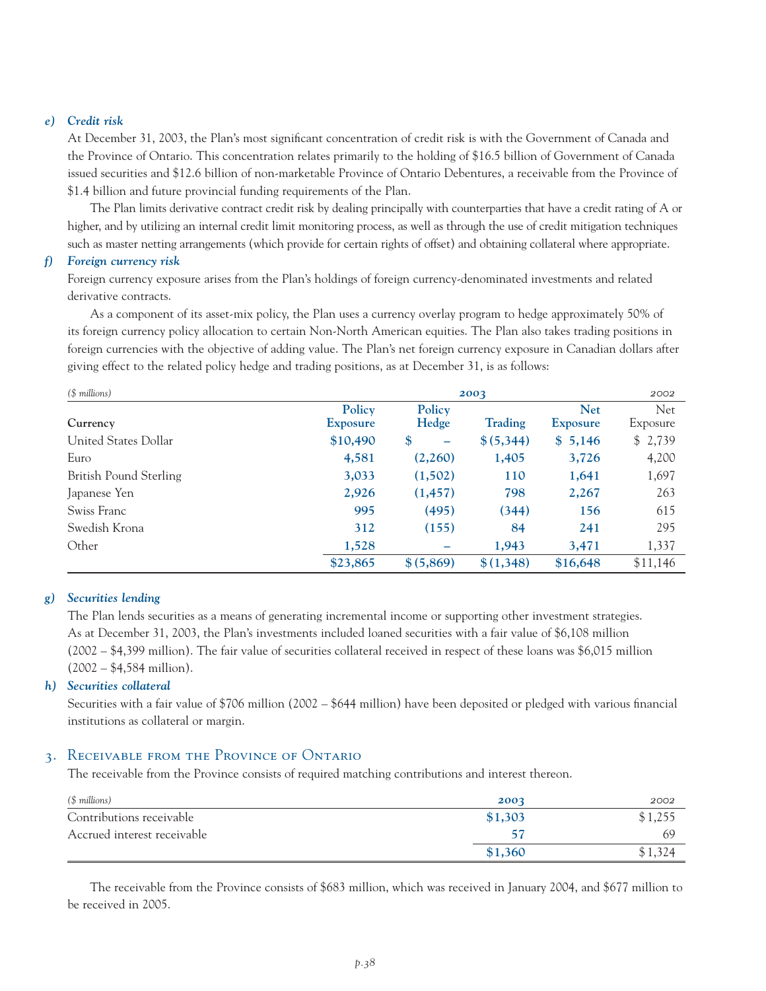#### *e) Credit risk*

At December 31, 2003, the Plan's most significant concentration of credit risk is with the Government of Canada and the Province of Ontario. This concentration relates primarily to the holding of \$16.5 billion of Government of Canada issued securities and \$12.6 billion of non-marketable Province of Ontario Debentures, a receivable from the Province of \$1.4 billion and future provincial funding requirements of the Plan.

The Plan limits derivative contract credit risk by dealing principally with counterparties that have a credit rating of A or higher, and by utilizing an internal credit limit monitoring process, as well as through the use of credit mitigation techniques such as master netting arrangements (which provide for certain rights of offset) and obtaining collateral where appropriate.

#### *f) Foreign currency risk*

Foreign currency exposure arises from the Plan's holdings of foreign currency-denominated investments and related derivative contracts.

As a component of its asset-mix policy, the Plan uses a currency overlay program to hedge approximately 50% of its foreign currency policy allocation to certain Non-North American equities. The Plan also takes trading positions in foreign currencies with the objective of adding value. The Plan's net foreign currency exposure in Canadian dollars after giving effect to the related policy hedge and trading positions, as at December 31, is as follows:

| $($$ millions)         | 2003                      |                 |                |                               | 2002             |
|------------------------|---------------------------|-----------------|----------------|-------------------------------|------------------|
| Currency               | Policy<br><b>Exposure</b> | Policy<br>Hedge | <b>Trading</b> | <b>Net</b><br><b>Exposure</b> | Net.<br>Exposure |
| United States Dollar   | \$10,490                  | \$<br>-         | \$ (5,344)     | \$5,146                       | \$2,739          |
| Euro                   | 4,581                     | (2,260)         | 1,405          | 3,726                         | 4,200            |
| British Pound Sterling | 3,033                     | (1,502)         | 110            | 1,641                         | 1,697            |
| Japanese Yen           | 2,926                     | (1, 457)        | 798            | 2,267                         | 263              |
| Swiss Franc            | 995                       | (495)           | (344)          | 156                           | 615              |
| Swedish Krona          | 312                       | (155)           | 84             | 241                           | 295              |
| Other                  | 1,528                     | -               | 1,943          | 3,471                         | 1,337            |
|                        | \$23,865                  | \$ (5,869)      | \$(1,348)      | \$16,648                      | \$11,146         |

#### *g) Securities lending*

The Plan lends securities as a means of generating incremental income or supporting other investment strategies. As at December 31, 2003, the Plan's investments included loaned securities with a fair value of \$6,108 million (2002 – \$4,399 million). The fair value of securities collateral received in respect of these loans was \$6,015 million  $(2002 - $4,584 \text{ million}).$ 

#### *h) Securities collateral*

Securities with a fair value of \$706 million (2002 – \$644 million) have been deposited or pledged with various financial institutions as collateral or margin.

#### 3. Receivable from the Province of Ontario

The receivable from the Province consists of required matching contributions and interest thereon.

| (\$ millions)               | 2003    | 2002    |
|-----------------------------|---------|---------|
| Contributions receivable    | \$1,303 | \$1,255 |
| Accrued interest receivable |         | 69      |
|                             | \$1,360 |         |

The receivable from the Province consists of \$683 million, which was received in January 2004, and \$677 million to be received in 2005.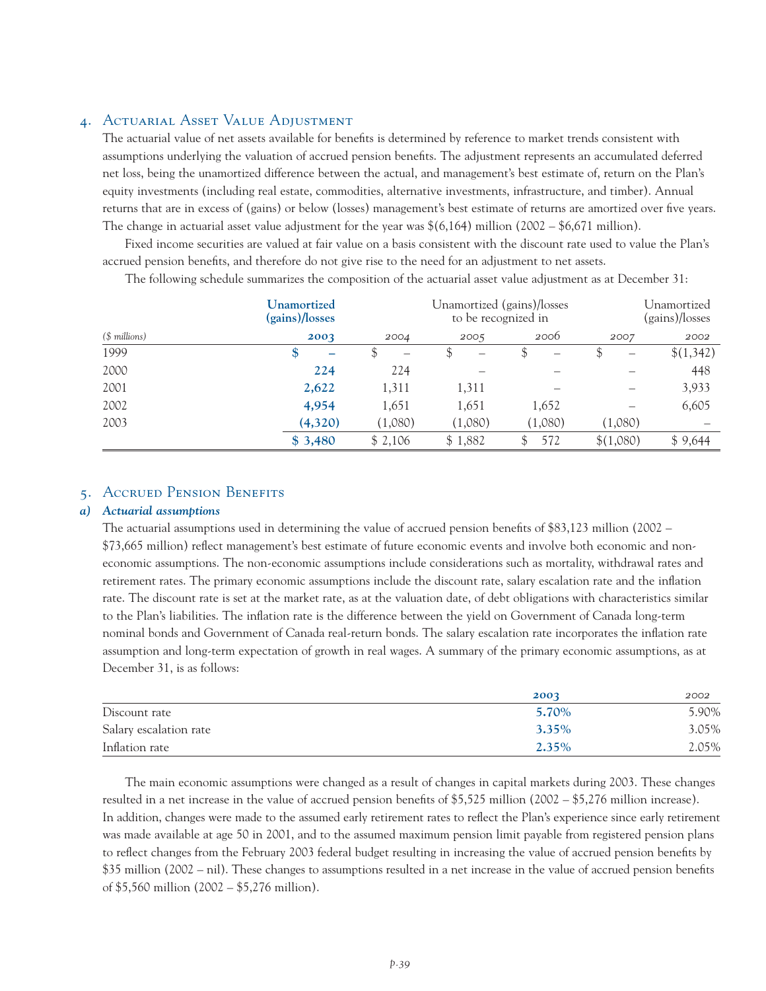## 4. Actuarial Asset Value Adjustment

The actuarial value of net assets available for benefits is determined by reference to market trends consistent with assumptions underlying the valuation of accrued pension benefits. The adjustment represents an accumulated deferred net loss, being the unamortized difference between the actual, and management's best estimate of, return on the Plan's equity investments (including real estate, commodities, alternative investments, infrastructure, and timber). Annual returns that are in excess of (gains) or below (losses) management's best estimate of returns are amortized over five years. The change in actuarial asset value adjustment for the year was  $\frac{6(6,164)}{1}$  million (2002 – \$6,671 million).

Fixed income securities are valued at fair value on a basis consistent with the discount rate used to value the Plan's accrued pension benefits, and therefore do not give rise to the need for an adjustment to net assets.

The following schedule summarizes the composition of the actuarial asset value adjustment as at December 31:

|                | Unamortized<br>(gains)/losses |         |         | Unamortized (gains)/losses<br>to be recognized in |                          | Unamortized<br>(gains)/losses |
|----------------|-------------------------------|---------|---------|---------------------------------------------------|--------------------------|-------------------------------|
| $($$ millions) | 2003                          | 2004    | 2005    | 2006                                              | 2007                     | 2002                          |
| 1999           | \$<br>-                       |         | \$<br>- |                                                   | $\overline{\phantom{0}}$ | \$(1,342)                     |
| 2000           | 224                           | 224     |         |                                                   |                          | 448                           |
| 2001           | 2,622                         | 1,311   | 1,311   |                                                   |                          | 3,933                         |
| 2002           | 4,954                         | 1,651   | 1,651   | 1,652                                             |                          | 6,605                         |
| 2003           | (4,320)                       | (1,080) | (1,080) | (1,080)                                           | (1,080)                  |                               |
|                | \$3,480                       | \$2,106 | \$1,882 | 572                                               | \$(1,080)                | \$9,644                       |

#### 5. Accrued Pension Benefits

#### *a) Actuarial assumptions*

The actuarial assumptions used in determining the value of accrued pension benefits of \$83,123 million (2002 – \$73,665 million) reflect management's best estimate of future economic events and involve both economic and noneconomic assumptions. The non-economic assumptions include considerations such as mortality, withdrawal rates and retirement rates. The primary economic assumptions include the discount rate, salary escalation rate and the inflation rate. The discount rate is set at the market rate, as at the valuation date, of debt obligations with characteristics similar to the Plan's liabilities. The inflation rate is the difference between the yield on Government of Canada long-term nominal bonds and Government of Canada real-return bonds. The salary escalation rate incorporates the inflation rate assumption and long-term expectation of growth in real wages. A summary of the primary economic assumptions, as at December 31, is as follows:

|                        | 2003     | 2002  |
|------------------------|----------|-------|
| Discount rate          | 5.70%    | 5.90% |
| Salary escalation rate | $3.35\%$ | 3.05% |
| Inflation rate         | 2.35%    | 2.05% |

The main economic assumptions were changed as a result of changes in capital markets during 2003. These changes resulted in a net increase in the value of accrued pension benefits of \$5,525 million (2002 – \$5,276 million increase). In addition, changes were made to the assumed early retirement rates to reflect the Plan's experience since early retirement was made available at age 50 in 2001, and to the assumed maximum pension limit payable from registered pension plans to reflect changes from the February 2003 federal budget resulting in increasing the value of accrued pension benefits by \$35 million (2002 – nil). These changes to assumptions resulted in a net increase in the value of accrued pension benefits of \$5,560 million (2002 – \$5,276 million).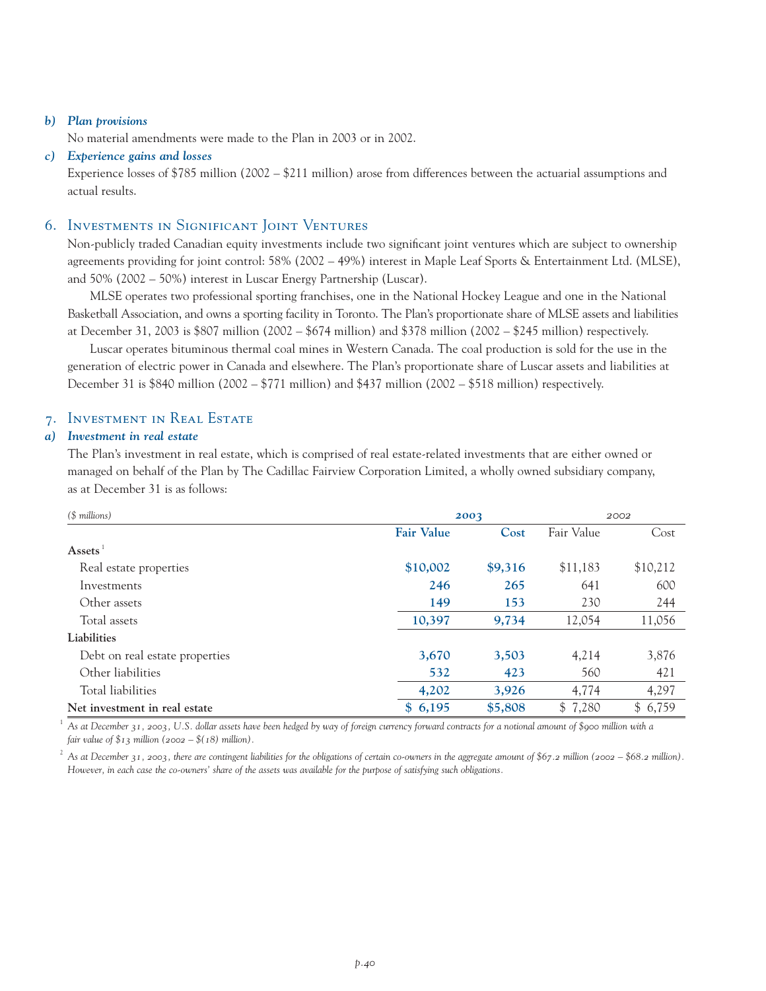#### *b) Plan provisions*

No material amendments were made to the Plan in 2003 or in 2002.

#### *c) Experience gains and losses*

Experience losses of \$785 million (2002 – \$211 million) arose from differences between the actuarial assumptions and actual results.

## 6. Investments in Significant Joint Ventures

Non-publicly traded Canadian equity investments include two significant joint ventures which are subject to ownership agreements providing for joint control: 58% (2002 – 49%) interest in Maple Leaf Sports & Entertainment Ltd. (MLSE), and 50% (2002 – 50%) interest in Luscar Energy Partnership (Luscar).

MLSE operates two professional sporting franchises, one in the National Hockey League and one in the National Basketball Association, and owns a sporting facility in Toronto. The Plan's proportionate share of MLSE assets and liabilities at December 31, 2003 is \$807 million (2002 – \$674 million) and \$378 million (2002 – \$245 million) respectively.

Luscar operates bituminous thermal coal mines in Western Canada. The coal production is sold for the use in the generation of electric power in Canada and elsewhere. The Plan's proportionate share of Luscar assets and liabilities at December 31 is \$840 million (2002 – \$771 million) and \$437 million (2002 – \$518 million) respectively.

## 7. Investment in Real Estate

#### *a) Investment in real estate*

The Plan's investment in real estate, which is comprised of real estate-related investments that are either owned or managed on behalf of the Plan by The Cadillac Fairview Corporation Limited, a wholly owned subsidiary company, as at December 31 is as follows:

| $($$ millions)                 | 2003              |         | 2002       |          |
|--------------------------------|-------------------|---------|------------|----------|
|                                | <b>Fair Value</b> | Cost    | Fair Value | Cost     |
| $\overline{\mathbf{Assets}}^1$ |                   |         |            |          |
| Real estate properties         | \$10,002          | \$9,316 | \$11,183   | \$10,212 |
| Investments                    | 246               | 265     | 641        | 600      |
| Other assets                   | 149               | 153     | 230        | 244      |
| Total assets                   | 10,397            | 9,734   | 12,054     | 11,056   |
| Liabilities                    |                   |         |            |          |
| Debt on real estate properties | 3,670             | 3,503   | 4,214      | 3,876    |
| Other liabilities              | 532               | 423     | 560        | 421      |
| Total liabilities              | 4,202             | 3,926   | 4,774      | 4,297    |
| Net investment in real estate  | \$6,195           | \$5,808 | \$7,280    | \$6,759  |

<sup>1</sup> *As at December 31, 2003, U.S. dollar assets have been hedged by way of foreign currency forward contracts for a notional amount of \$900 million with a fair value of \$13 million (2002 – \$(18) million).*

<sup>2</sup> As at December 31, 2003, there are contingent liabilities for the obligations of certain co-owners in the aggregate amount of \$67.2 million (2002 – \$68.2 million). *However, in each case the co-owners' share of the assets was available for the purpose of satisfying such obligations.*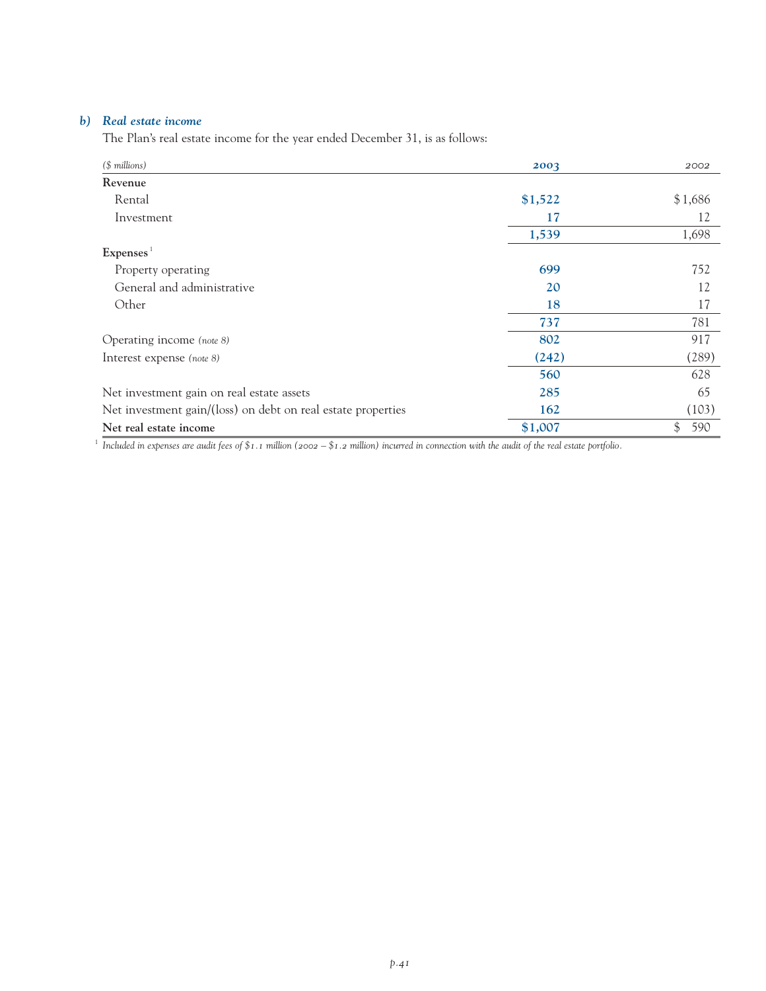## *b) Real estate income*

The Plan's real estate income for the year ended December 31, is as follows:

| $($$ millions)                                               | 2003    | 2002      |
|--------------------------------------------------------------|---------|-----------|
| Revenue                                                      |         |           |
| Rental                                                       | \$1,522 | \$1,686   |
| Investment                                                   | 17      | 12        |
|                                                              | 1,539   | 1,698     |
| Express <sup>1</sup>                                         |         |           |
| Property operating                                           | 699     | 752       |
| General and administrative                                   | 20      | 12        |
| Other                                                        | 18      | 17        |
|                                                              | 737     | 781       |
| Operating income (note 8)                                    | 802     | 917       |
| Interest expense (note 8)                                    | (242)   | (289)     |
|                                                              | 560     | 628       |
| Net investment gain on real estate assets                    | 285     | 65        |
| Net investment gain/(loss) on debt on real estate properties | 162     | (103)     |
| Net real estate income                                       | \$1,007 | \$<br>590 |

<sup>1</sup> *Included in expenses are audit fees of*  $\$1.1$  million (2002 –  $\$1.2$  million) incurred in connection with the audit of the real estate portfolio.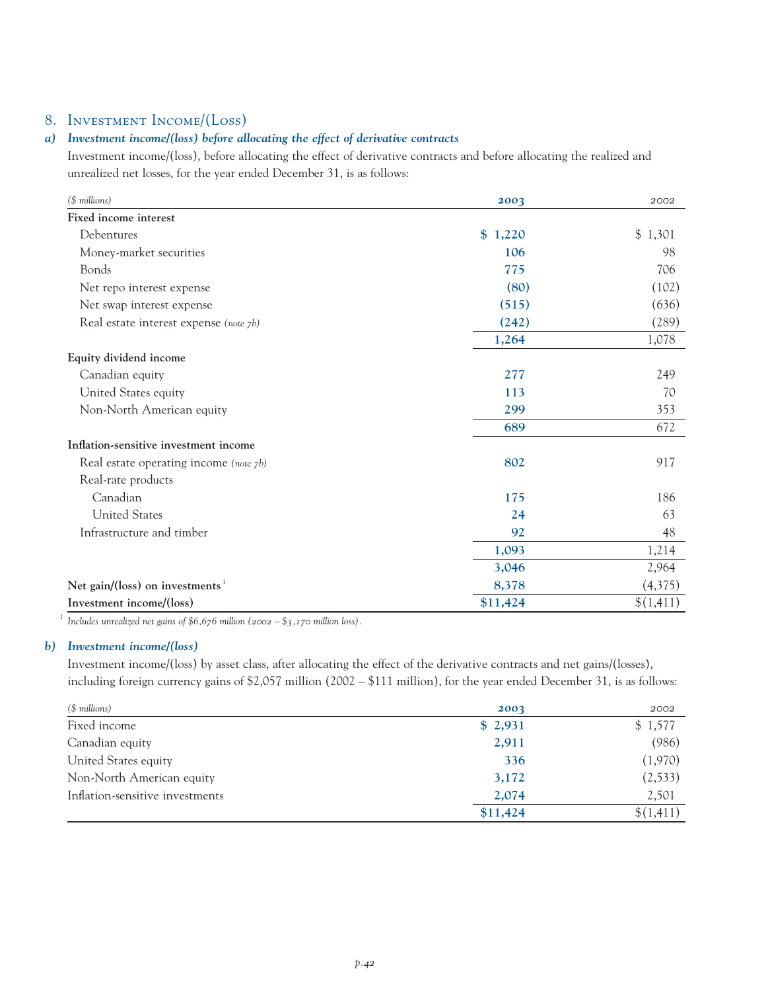## 8. Investment Income/(Loss)

## *a) Investment income/(loss) before allocating the effect of derivative contracts*

Investment income/(loss), before allocating the effect of derivative contracts and before allocating the realized and unrealized net losses, for the year ended December 31, is as follows:

| (\$ millions)                                | 2003     | 2002      |
|----------------------------------------------|----------|-----------|
| Fixed income interest                        |          |           |
| Debentures                                   | \$1,220  | \$1,301   |
| Money-market securities                      | 106      | 98        |
| Bonds                                        | 775      | 706       |
| Net repo interest expense                    | (80)     | (102)     |
| Net swap interest expense                    | (515)    | (636)     |
| Real estate interest expense (note 7b)       | (242)    | (289)     |
|                                              | 1,264    | 1,078     |
| Equity dividend income                       |          |           |
| Canadian equity                              | 277      | 249       |
| United States equity                         | 113      | 70        |
| Non-North American equity                    | 299      | 353       |
|                                              | 689      | 672       |
| Inflation-sensitive investment income        |          |           |
| Real estate operating income (note 7b)       | 802      | 917       |
| Real-rate products                           |          |           |
| Canadian                                     | 175      | 186       |
| <b>United States</b>                         | 24       | 63        |
| Infrastructure and timber                    | 92       | 48        |
|                                              | 1,093    | 1,214     |
|                                              | 3,046    | 2,964     |
| Net gain/(loss) on investments $\frac{1}{1}$ | 8,378    | (4,375)   |
| Investment income/(loss)                     | \$11,424 | \$(1,411) |

<sup>1</sup> *Includes unrealized net gains of* \$6,676 million (2002 – \$3,170 million loss).

### *b) Investment income/(loss)*

Investment income/(loss) by asset class, after allocating the effect of the derivative contracts and net gains/(losses), including foreign currency gains of \$2,057 million (2002 – \$111 million), for the year ended December 31, is as follows:

| (\$ millions)                   | 2003     | 2002      |
|---------------------------------|----------|-----------|
| Fixed income                    | \$2,931  | \$1,577   |
| Canadian equity                 | 2,911    | (986)     |
| United States equity            | 336      | (1,970)   |
| Non-North American equity       | 3,172    | (2, 533)  |
| Inflation-sensitive investments | 2,074    | 2,501     |
|                                 | \$11,424 | \$(1,411) |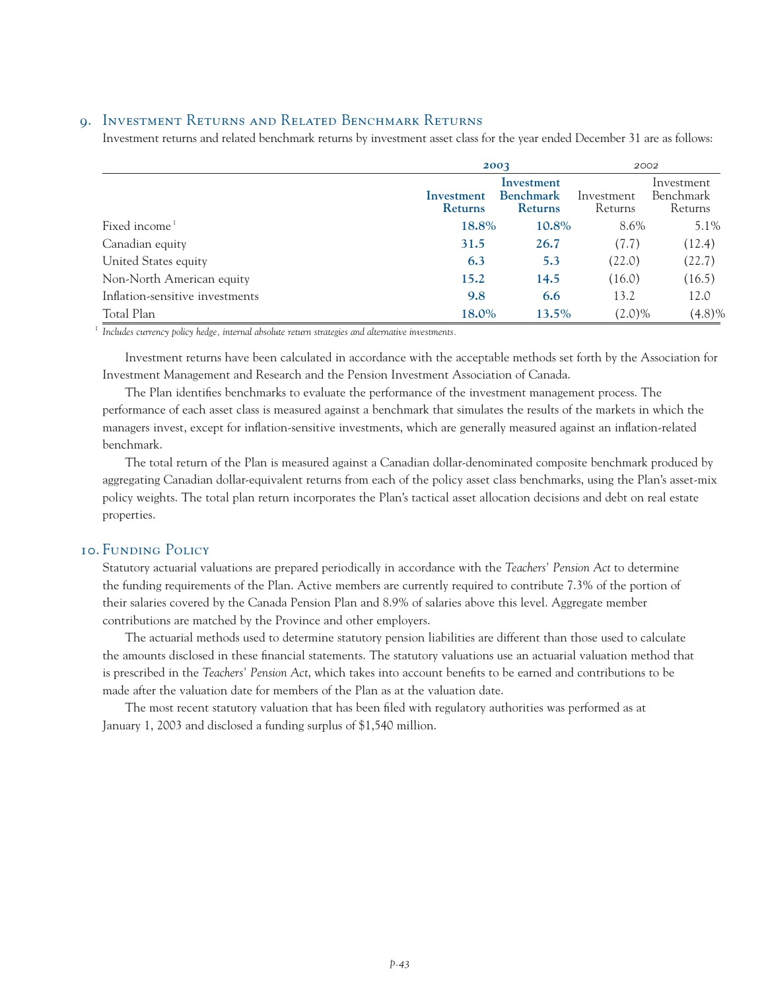## 9. Investment Returns and Related Benchmark Returns

Investment returns and related benchmark returns by investment asset class for the year ended December 31 are as follows:

|                                 |                              | 2003                                             |                       | 2002                               |  |
|---------------------------------|------------------------------|--------------------------------------------------|-----------------------|------------------------------------|--|
|                                 | Investment<br><b>Returns</b> | Investment<br><b>Benchmark</b><br><b>Returns</b> | Investment<br>Returns | Investment<br>Benchmark<br>Returns |  |
| Fixed income <sup>1</sup>       | 18.8%                        | 10.8%                                            | 8.6%                  | 5.1%                               |  |
| Canadian equity                 | 31.5                         | 26.7                                             | (7.7)                 | (12.4)                             |  |
| United States equity            | 6.3                          | 5.3                                              | (22.0)                | (22.7)                             |  |
| Non-North American equity       | 15.2                         | 14.5                                             | (16.0)                | (16.5)                             |  |
| Inflation-sensitive investments | 9.8                          | 6.6                                              | 13.2                  | 12.0                               |  |
| Total Plan                      | 18.0%                        | 13.5%                                            | $(2.0)\%$             | (4.8)%                             |  |

<sup>1</sup> *Includes currency policy hedge, internal absolute return strategies and alternative investments.*

Investment returns have been calculated in accordance with the acceptable methods set forth by the Association for Investment Management and Research and the Pension Investment Association of Canada.

The Plan identifies benchmarks to evaluate the performance of the investment management process. The performance of each asset class is measured against a benchmark that simulates the results of the markets in which the managers invest, except for inflation-sensitive investments, which are generally measured against an inflation-related benchmark.

The total return of the Plan is measured against a Canadian dollar-denominated composite benchmark produced by aggregating Canadian dollar-equivalent returns from each of the policy asset class benchmarks, using the Plan's asset-mix policy weights. The total plan return incorporates the Plan's tactical asset allocation decisions and debt on real estate properties.

## 10. Funding Policy

Statutory actuarial valuations are prepared periodically in accordance with the *Teachers' Pension Act* to determine the funding requirements of the Plan. Active members are currently required to contribute 7.3% of the portion of their salaries covered by the Canada Pension Plan and 8.9% of salaries above this level. Aggregate member contributions are matched by the Province and other employers.

The actuarial methods used to determine statutory pension liabilities are different than those used to calculate the amounts disclosed in these financial statements. The statutory valuations use an actuarial valuation method that is prescribed in the *Teachers' Pension Act*, which takes into account benefits to be earned and contributions to be made after the valuation date for members of the Plan as at the valuation date.

The most recent statutory valuation that has been filed with regulatory authorities was performed as at January 1, 2003 and disclosed a funding surplus of \$1,540 million.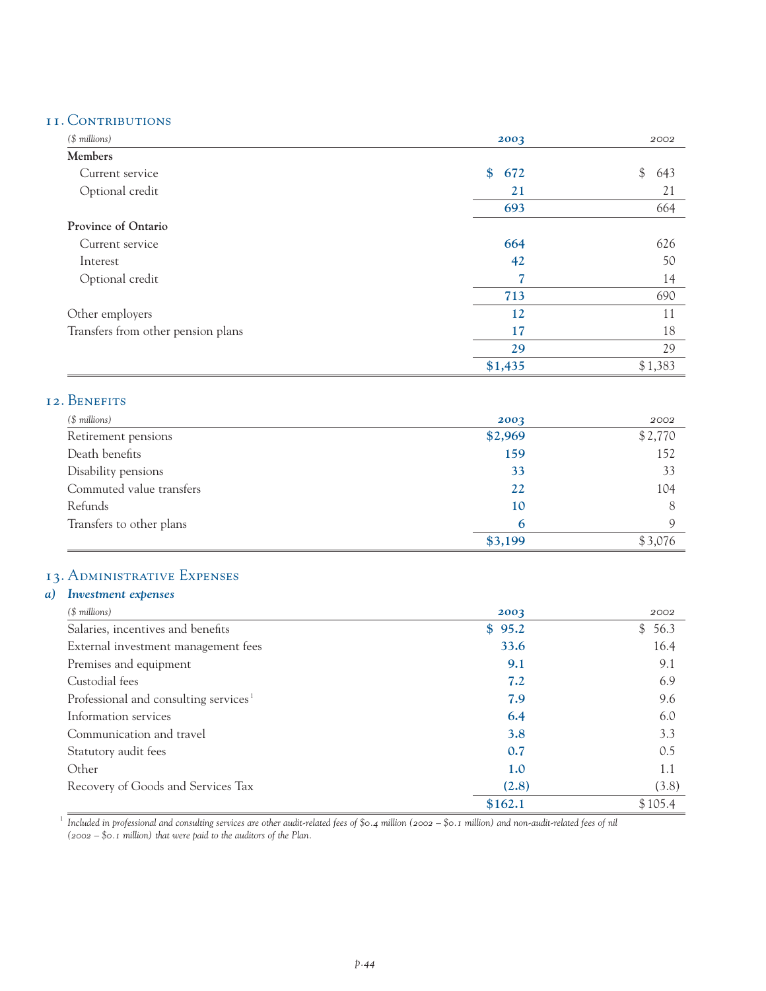## 11. Contributions

| $($$ millions)                     | 2003                 | 2002      |
|------------------------------------|----------------------|-----------|
| Members                            |                      |           |
| Current service                    | $\frac{1}{2}$<br>672 | \$<br>643 |
| Optional credit                    | 21                   | 21        |
|                                    | 693                  | 664       |
| <b>Province of Ontario</b>         |                      |           |
| Current service                    | 664                  | 626       |
| Interest                           | 42                   | 50        |
| Optional credit                    |                      | 14        |
|                                    | 713                  | 690       |
| Other employers                    | 12                   | 11        |
| Transfers from other pension plans | 17                   | 18        |
|                                    | 29                   | 29        |
|                                    | \$1,435              | \$1,383   |

## 12. Benefits

| (\$ millions)            | 2003    | 2002        |
|--------------------------|---------|-------------|
| Retirement pensions      | \$2,969 | \$2,770     |
| Death benefits           | 159     | 152         |
| Disability pensions      | 33      | 33          |
| Commuted value transfers | 22      | 104         |
| Refunds                  | 10      | 8           |
| Transfers to other plans | 6       | $\mathbf Q$ |
|                          | \$3,199 | \$3,076     |

## 13. Administrative Expenses

## *a) Investment expenses (\$ millions) 2003 2002* Salaries, incentives and benefits **\$ 95.2** \$ 56.3 External investment management fees 33.6 16.4 Premises and equipment **9.1** 9.1 Custodial fees **7.2** 6.9 Professional and consulting services<sup>1</sup> 2.9 9.6 Information services **6.4** 6.0 Communication and travel **3.8** 3.3 Statutory audit fees 0.5 Other **1.0** 1.1 Recovery of Goods and Services Tax **(2.8)** (3.8) \$162.1 \$105.4

<sup>1</sup> Included in professional and consulting services are other audit-related fees of \$0.4 million (2002 – \$0.1 million) and non-audit-related fees of nil *(2002 – \$0.1 million) that were paid to the auditors of the Plan.*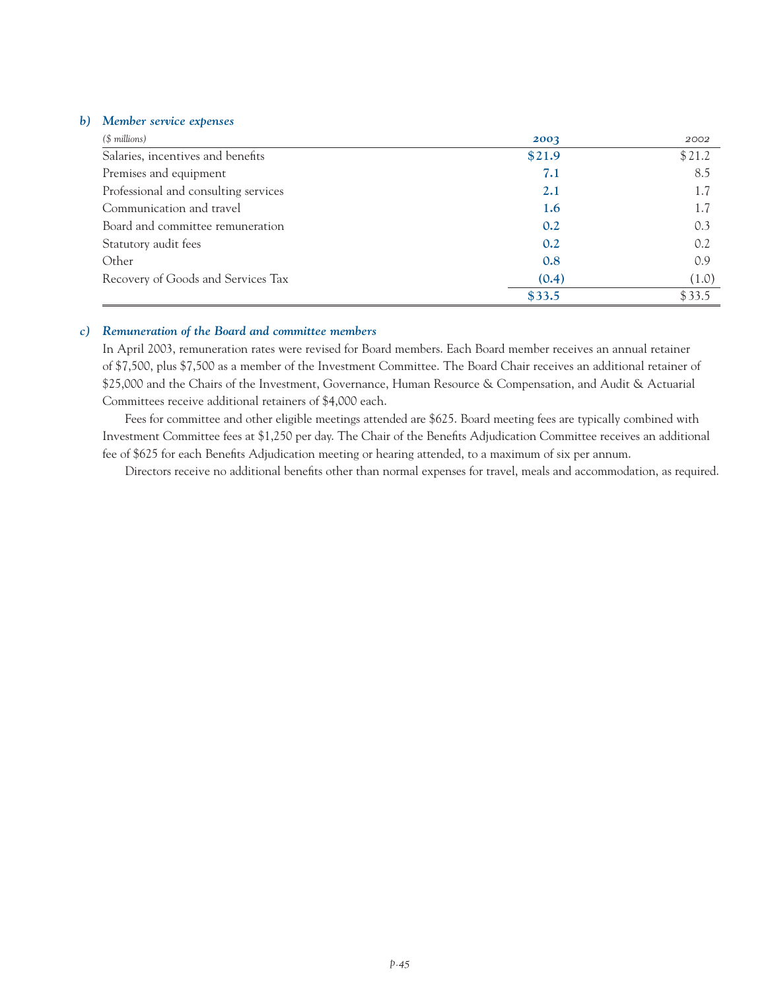#### *b) Member service expenses*

| $($$ millions)                       | 2003   | 2002   |
|--------------------------------------|--------|--------|
| Salaries, incentives and benefits    | \$21.9 | \$21.2 |
| Premises and equipment               | 7.1    | 8.5    |
| Professional and consulting services | 2.1    | 1.7    |
| Communication and travel             | 1.6    | 1.7    |
| Board and committee remuneration     | 0.2    | 0.3    |
| Statutory audit fees                 | 0.2    | 0.2    |
| Other                                | 0.8    | 0.9    |
| Recovery of Goods and Services Tax   | (0.4)  | (1.0)  |
|                                      | \$33.5 | \$33.5 |

#### *c) Remuneration of the Board and committee members*

In April 2003, remuneration rates were revised for Board members. Each Board member receives an annual retainer of \$7,500, plus \$7,500 as a member of the Investment Committee. The Board Chair receives an additional retainer of \$25,000 and the Chairs of the Investment, Governance, Human Resource & Compensation, and Audit & Actuarial Committees receive additional retainers of \$4,000 each.

Fees for committee and other eligible meetings attended are \$625. Board meeting fees are typically combined with Investment Committee fees at \$1,250 per day. The Chair of the Benefits Adjudication Committee receives an additional fee of \$625 for each Benefits Adjudication meeting or hearing attended, to a maximum of six per annum.

Directors receive no additional benefits other than normal expenses for travel, meals and accommodation, as required.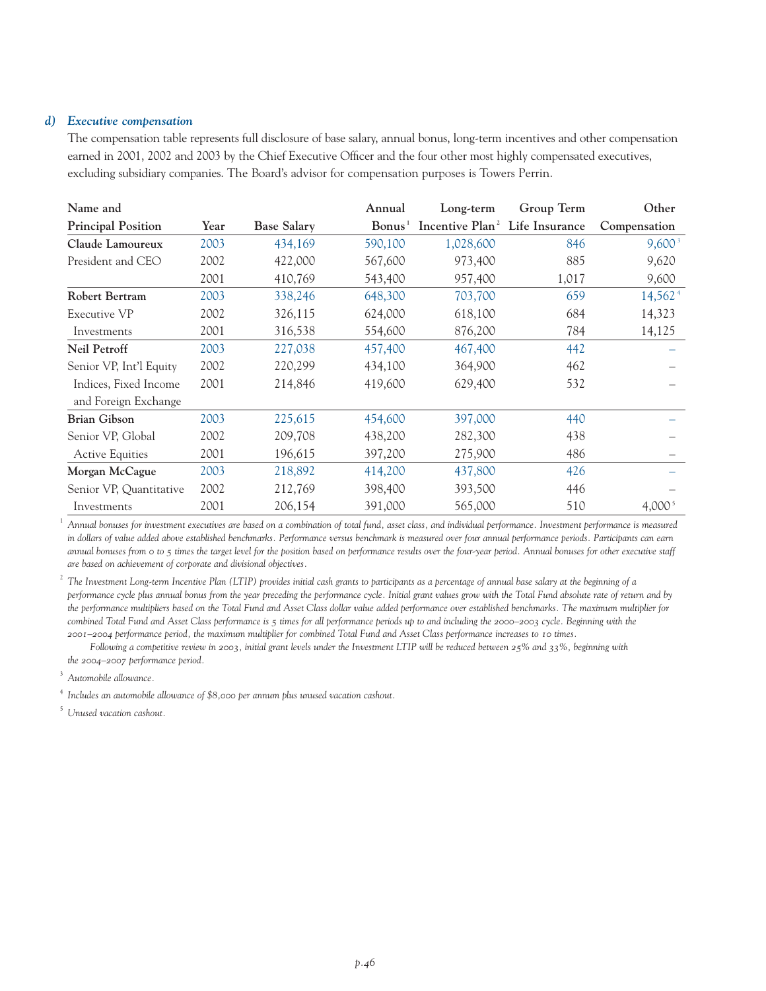#### *d) Executive compensation*

The compensation table represents full disclosure of base salary, annual bonus, long-term incentives and other compensation earned in 2001, 2002 and 2003 by the Chief Executive Officer and the four other most highly compensated executives, excluding subsidiary companies. The Board's advisor for compensation purposes is Towers Perrin.

| Name and                  |      |                    | Annual           | Long-term                                  | Group Term | Other               |
|---------------------------|------|--------------------|------------------|--------------------------------------------|------------|---------------------|
| <b>Principal Position</b> | Year | <b>Base Salary</b> | $\text{Bonus}^1$ | Incentive Plan <sup>2</sup> Life Insurance |            | Compensation        |
| Claude Lamoureux          | 2003 | 434,169            | 590,100          | 1,028,600                                  | 846        | $9,600^3$           |
| President and CEO         | 2002 | 422,000            | 567,600          | 973,400                                    | 885        | 9,620               |
|                           | 2001 | 410,769            | 543,400          | 957,400                                    | 1,017      | 9,600               |
| <b>Robert Bertram</b>     | 2003 | 338,246            | 648,300          | 703,700                                    | 659        | 14,562 <sup>4</sup> |
| Executive VP              | 2002 | 326,115            | 624,000          | 618,100                                    | 684        | 14,323              |
| Investments               | 2001 | 316,538            | 554,600          | 876,200                                    | 784        | 14,125              |
| <b>Neil Petroff</b>       | 2003 | 227,038            | 457,400          | 467,400                                    | 442        |                     |
| Senior VP, Int'l Equity   | 2002 | 220,299            | 434,100          | 364,900                                    | 462        |                     |
| Indices, Fixed Income     | 2001 | 214,846            | 419,600          | 629,400                                    | 532        |                     |
| and Foreign Exchange      |      |                    |                  |                                            |            |                     |
| <b>Brian Gibson</b>       | 2003 | 225,615            | 454,600          | 397,000                                    | 440        |                     |
| Senior VP, Global         | 2002 | 209,708            | 438,200          | 282,300                                    | 438        |                     |
| <b>Active Equities</b>    | 2001 | 196,615            | 397,200          | 275,900                                    | 486        |                     |
| Morgan McCague            | 2003 | 218,892            | 414,200          | 437,800                                    | 426        |                     |
| Senior VP, Quantitative   | 2002 | 212,769            | 398,400          | 393,500                                    | 446        |                     |
| Investments               | 2001 | 206,154            | 391,000          | 565,000                                    | 510        | 4,000 <sup>5</sup>  |

<sup>1</sup> *Annual bonuses for investment executives are based on a combination of total fund, asset class, and individual performance. Investment performance is measured in dollars of value added above established benchmarks. Performance versus benchmark is measured over four annual performance periods. Participants can earn annual bonuses from 0 to 5 times the target level for the position based on performance results over the four-year period. Annual bonuses for other executive staff are based on achievement of corporate and divisional objectives.*

<sup>2</sup> The Investment Long-term Incentive Plan (LTIP) provides initial cash grants to participants as a percentage of annual base salary at the beginning of a *performance cycle plus annual bonus from the year preceding the performance cycle. Initial grant values grow with the Total Fund absolute rate of return and by the performance multipliers based on the Total Fund and Asset Class dollar value added performance over established benchmarks. The maximum multiplier for combined Total Fund and Asset Class performance is 5 times for all performance periods up to and including the 2000–2003 cycle. Beginning with the 2001–2004 performance period, the maximum multiplier for combined Total Fund and Asset Class performance increases to 10 times.*

*Following a competitive review in 2003, initial grant levels under the Investment LTIP will be reduced between 25% and 33%, beginning with the 2004–2007 performance period.*

<sup>3</sup> *Automobile allowance.*

<sup>4</sup> *Includes an automobile allowance of \$8,000 per annum plus unused vacation cashout.*

<sup>5</sup> *Unused vacation cashout.*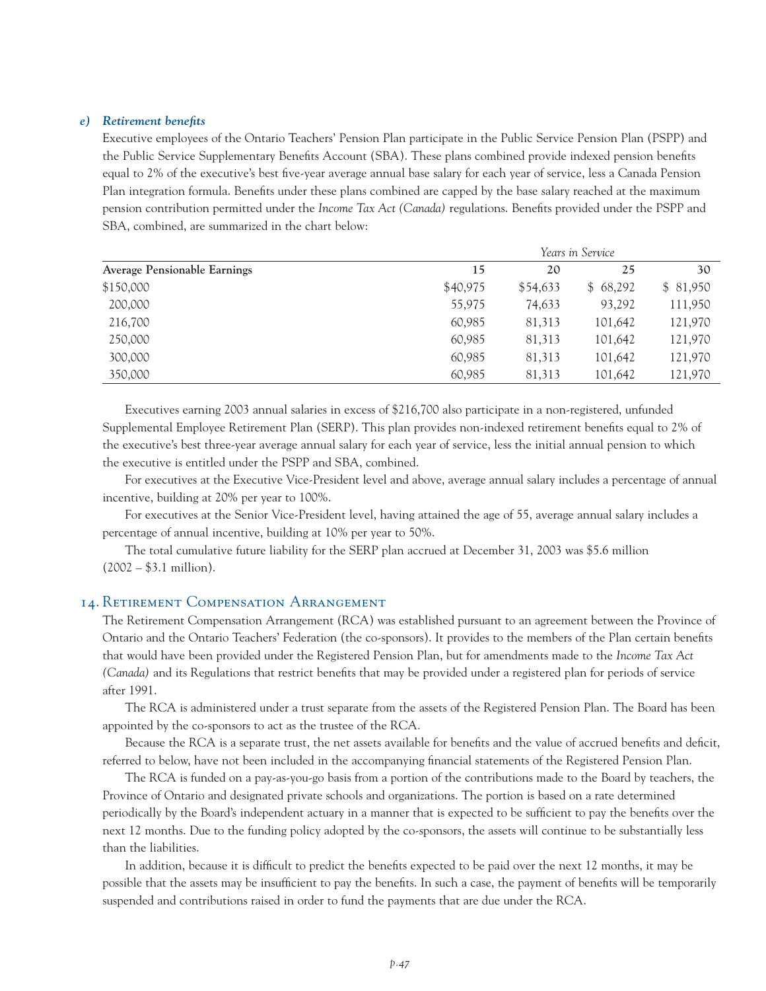#### *e) Retirement benefits*

Executive employees of the Ontario Teachers' Pension Plan participate in the Public Service Pension Plan (PSPP) and the Public Service Supplementary Benefits Account (SBA). These plans combined provide indexed pension benefits equal to 2% of the executive's best five-year average annual base salary for each year of service, less a Canada Pension Plan integration formula. Benefits under these plans combined are capped by the base salary reached at the maximum pension contribution permitted under the *Income Tax Act (Canada)* regulations. Benefits provided under the PSPP and SBA, combined, are summarized in the chart below:

|                                     | Years in Service |          |          |          |
|-------------------------------------|------------------|----------|----------|----------|
| <b>Average Pensionable Earnings</b> | 15               | 20       | 25       | 30       |
| \$150,000                           | \$40,975         | \$54,633 | \$68,292 | \$81,950 |
| 200,000                             | 55,975           | 74,633   | 93,292   | 111,950  |
| 216,700                             | 60,985           | 81,313   | 101,642  | 121,970  |
| 250,000                             | 60,985           | 81,313   | 101,642  | 121,970  |
| 300,000                             | 60,985           | 81,313   | 101,642  | 121,970  |
| 350,000                             | 60,985           | 81,313   | 101,642  | 121,970  |

Executives earning 2003 annual salaries in excess of \$216,700 also participate in a non-registered, unfunded Supplemental Employee Retirement Plan (SERP). This plan provides non-indexed retirement benefits equal to 2% of the executive's best three-year average annual salary for each year of service, less the initial annual pension to which the executive is entitled under the PSPP and SBA, combined.

For executives at the Executive Vice-President level and above, average annual salary includes a percentage of annual incentive, building at 20% per year to 100%.

For executives at the Senior Vice-President level, having attained the age of 55, average annual salary includes a percentage of annual incentive, building at 10% per year to 50%.

The total cumulative future liability for the SERP plan accrued at December 31, 2003 was \$5.6 million  $(2002 - $3.1 \text{ million}).$ 

#### 14. Retirement Compensation Arrangement

The Retirement Compensation Arrangement (RCA) was established pursuant to an agreement between the Province of Ontario and the Ontario Teachers' Federation (the co-sponsors). It provides to the members of the Plan certain benefits that would have been provided under the Registered Pension Plan, but for amendments made to the *Income Tax Act (Canada)* and its Regulations that restrict benefits that may be provided under a registered plan for periods of service after 1991.

The RCA is administered under a trust separate from the assets of the Registered Pension Plan. The Board has been appointed by the co-sponsors to act as the trustee of the RCA.

Because the RCA is a separate trust, the net assets available for benefits and the value of accrued benefits and deficit, referred to below, have not been included in the accompanying financial statements of the Registered Pension Plan.

The RCA is funded on a pay-as-you-go basis from a portion of the contributions made to the Board by teachers, the Province of Ontario and designated private schools and organizations. The portion is based on a rate determined periodically by the Board's independent actuary in a manner that is expected to be sufficient to pay the benefits over the next 12 months. Due to the funding policy adopted by the co-sponsors, the assets will continue to be substantially less than the liabilities.

In addition, because it is difficult to predict the benefits expected to be paid over the next 12 months, it may be possible that the assets may be insufficient to pay the benefits. In such a case, the payment of benefits will be temporarily suspended and contributions raised in order to fund the payments that are due under the RCA.